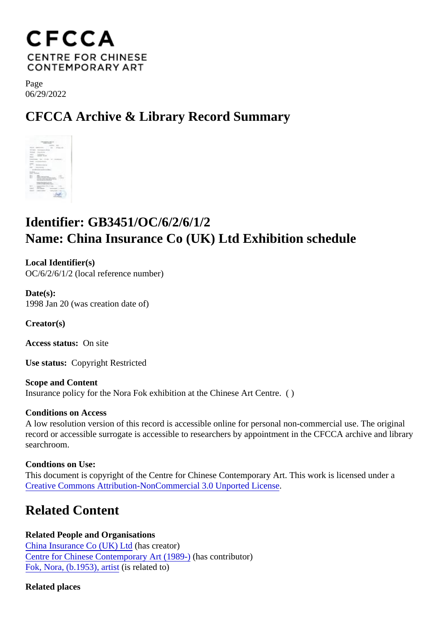Page 06/29/2022

# CFCCA Archive & Library Record Summary

# Identifier: GB3451/OC/6/2/6/1/2 Name: China Insurance Co (UK) Ltd Exhibition schedule

Local Identifier(s) OC/6/2/6/1/2 (local reference number)

Date(s): 1998 Jan 20 (was creation date of)

Creator(s)

Access status: On site

Use status: Copyright Restricted

Scope and Content Insurance policy for the Nora Fok exhibition at the Chinese Art Centre. ( )

Conditions on Access

A low resolution version of this record is accessible online for personal non-commercial use. The original record or accessible surrogate is accessible to researchers by appointment in the CFCCA archive and libr searchroom.

Condtions on Use: This document is copyright of the Centre for Chinese Contemporary Art. This work is licensed under a [Creative Commons Attribution-NonCommercial 3.0 Unported Lic](https://creativecommons.org/licenses/by-nc/3.0/)ense .

## Related Content

Related People and Organisations [China Insurance Co \(UK\) L](/index.php/Detail/entities/479)t(has creator) [Centre for Chinese Contemporary Art \(198](/index.php/Detail/entities/2)0)as contributor) [Fok, Nora, \(b.1953\), arti](/index.php/Detail/entities/57)strelated to)

Related places